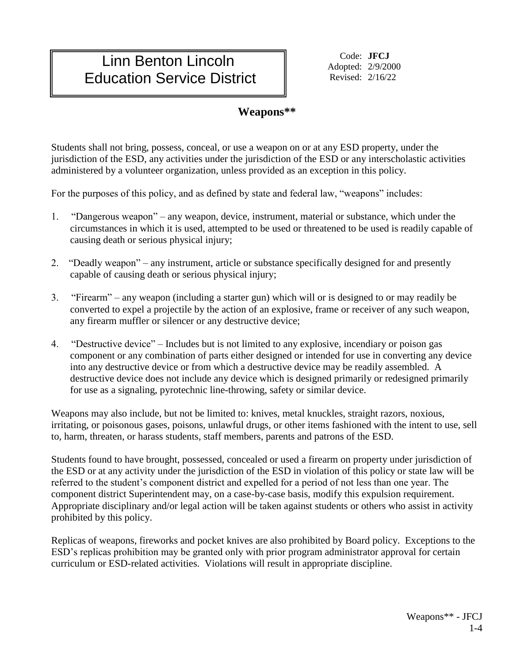## Linn Benton Lincoln Education Service District

Code: **JFCJ** Adopted: 2/9/2000 Revised: 2/16/22

## **Weapons\*\***

Students shall not bring, possess, conceal, or use a weapon on or at any ESD property, under the jurisdiction of the ESD, any activities under the jurisdiction of the ESD or any interscholastic activities administered by a volunteer organization, unless provided as an exception in this policy.

For the purposes of this policy, and as defined by state and federal law, "weapons" includes:

- 1. "Dangerous weapon" any weapon, device, instrument, material or substance, which under the circumstances in which it is used, attempted to be used or threatened to be used is readily capable of causing death or serious physical injury;
- 2. "Deadly weapon" any instrument, article or substance specifically designed for and presently capable of causing death or serious physical injury;
- 3. "Firearm" any weapon (including a starter gun) which will or is designed to or may readily be converted to expel a projectile by the action of an explosive, frame or receiver of any such weapon, any firearm muffler or silencer or any destructive device;
- 4. "Destructive device" Includes but is not limited to any explosive, incendiary or poison gas component or any combination of parts either designed or intended for use in converting any device into any destructive device or from which a destructive device may be readily assembled. A destructive device does not include any device which is designed primarily or redesigned primarily for use as a signaling, pyrotechnic line-throwing, safety or similar device.

Weapons may also include, but not be limited to: knives, metal knuckles, straight razors, noxious, irritating, or poisonous gases, poisons, unlawful drugs, or other items fashioned with the intent to use, sell to, harm, threaten, or harass students, staff members, parents and patrons of the ESD.

Students found to have brought, possessed, concealed or used a firearm on property under jurisdiction of the ESD or at any activity under the jurisdiction of the ESD in violation of this policy or state law will be referred to the student's component district and expelled for a period of not less than one year. The component district Superintendent may, on a case-by-case basis, modify this expulsion requirement. Appropriate disciplinary and/or legal action will be taken against students or others who assist in activity prohibited by this policy.

Replicas of weapons, fireworks and pocket knives are also prohibited by Board policy. Exceptions to the ESD's replicas prohibition may be granted only with prior program administrator approval for certain curriculum or ESD-related activities. Violations will result in appropriate discipline.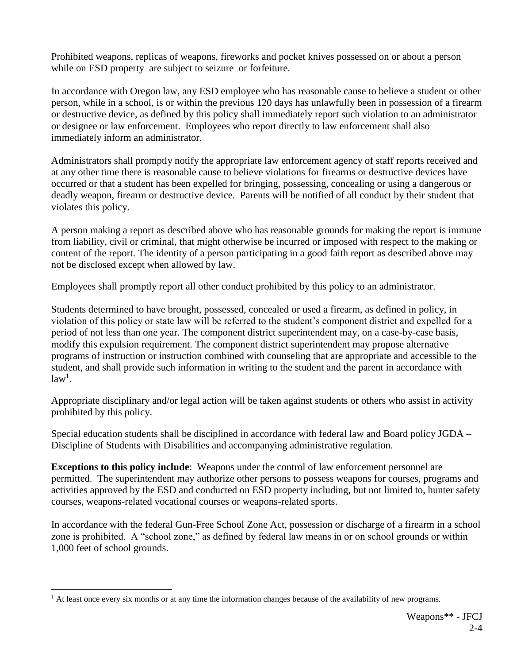Prohibited weapons, replicas of weapons, fireworks and pocket knives possessed on or about a person while on ESD property are subject to seizure or forfeiture.

In accordance with Oregon law, any ESD employee who has reasonable cause to believe a student or other person, while in a school, is or within the previous 120 days has unlawfully been in possession of a firearm or destructive device, as defined by this policy shall immediately report such violation to an administrator or designee or law enforcement. Employees who report directly to law enforcement shall also immediately inform an administrator.

Administrators shall promptly notify the appropriate law enforcement agency of staff reports received and at any other time there is reasonable cause to believe violations for firearms or destructive devices have occurred or that a student has been expelled for bringing, possessing, concealing or using a dangerous or deadly weapon, firearm or destructive device. Parents will be notified of all conduct by their student that violates this policy.

A person making a report as described above who has reasonable grounds for making the report is immune from liability, civil or criminal, that might otherwise be incurred or imposed with respect to the making or content of the report. The identity of a person participating in a good faith report as described above may not be disclosed except when allowed by law.

Employees shall promptly report all other conduct prohibited by this policy to an administrator.

Students determined to have brought, possessed, concealed or used a firearm, as defined in policy, in violation of this policy or state law will be referred to the student's component district and expelled for a period of not less than one year. The component district superintendent may, on a case-by-case basis, modify this expulsion requirement. The component district superintendent may propose alternative programs of instruction or instruction combined with counseling that are appropriate and accessible to the student, and shall provide such information in writing to the student and the parent in accordance with  $law<sup>1</sup>$ .

Appropriate disciplinary and/or legal action will be taken against students or others who assist in activity prohibited by this policy.

Special education students shall be disciplined in accordance with federal law and Board policy JGDA – Discipline of Students with Disabilities and accompanying administrative regulation.

**Exceptions to this policy include**: Weapons under the control of law enforcement personnel are permitted. The superintendent may authorize other persons to possess weapons for courses, programs and activities approved by the ESD and conducted on ESD property including, but not limited to, hunter safety courses, weapons-related vocational courses or weapons-related sports.

In accordance with the federal Gun-Free School Zone Act, possession or discharge of a firearm in a school zone is prohibited. A "school zone," as defined by federal law means in or on school grounds or within 1,000 feet of school grounds.

 $\overline{a}$ 

<sup>&</sup>lt;sup>1</sup> At least once every six months or at any time the information changes because of the availability of new programs.